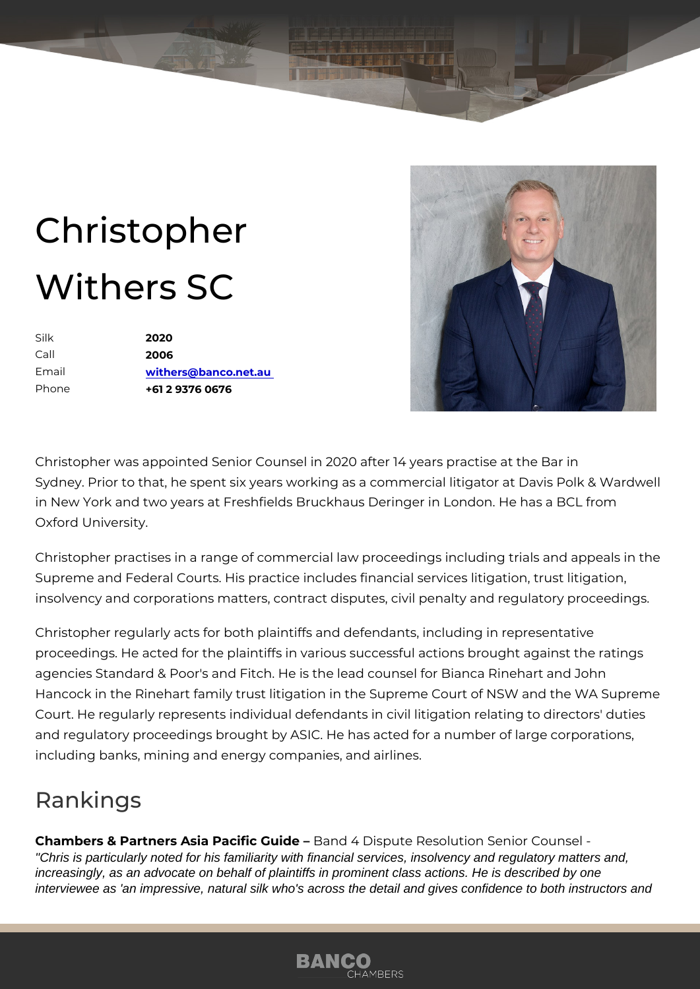## Christopher Withers SC

Silk 2020 Call 2006 Email [withers@banco.n](mailto:withers@banco.net.au)et.au Phone +61 2 9376 0676

Christopher was appointed Senior Counsel in 2020 after 14 years practise Sydney. Prior to that, he spent six years working as a commercial litigate in New York and two years at Freshfields Bruckhaus Deringer in London. Oxford University.

Christopher practises in a range of commercial law proceedings including Supreme and Federal Courts. His practice includes financial services liti insolvency and corporations matters, contract disputes, civil penalty and

Christopher regularly acts for both plaintiffs and defendants, including in proceedings. He acted for the plaintiffs in various successful actions bro agencies Standard & Poor's and Fitch. He is the lead counsel for Bianca Hancock in the Rinehart family trust litigation in the Supreme Court of N Court. He regularly represents individual defendants in civil litigation re and regulatory proceedings brought by ASIC. He has acted for a number  $\overline{0}$ including banks, mining and energy companies, and airlines.

## Rankings

Chambers & Partners Asia PaciBian Gulid Deispute Resolution Senior Counsel "Chris is particularly noted for his familiarity with financial services, insolvency and regulatory matters and, increasingly, as an advocate on behalf of plaintiffs in prominent class actions. He is described by one interviewee as 'an impressive, natural silk who's across the detail and gives confidence to both instructors and